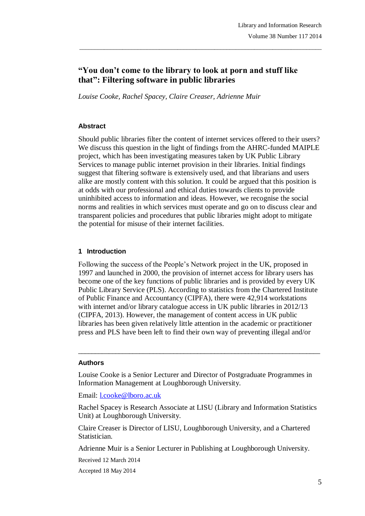# **"You don't come to the library to look at porn and stuff like that": Filtering software in public libraries**

\_\_\_\_\_\_\_\_\_\_\_\_\_\_\_\_\_\_\_\_\_\_\_\_\_\_\_\_\_\_\_\_\_\_\_\_\_\_\_\_\_\_\_\_\_\_\_\_\_\_\_\_\_\_\_\_\_\_\_\_\_\_\_\_\_\_\_\_\_\_\_\_\_\_\_\_\_\_\_

*Louise Cooke, Rachel Spacey, Claire Creaser, Adrienne Muir*

### **Abstract**

Should public libraries filter the content of internet services offered to their users? We discuss this question in the light of findings from the AHRC-funded MAIPLE project, which has been investigating measures taken by UK Public Library Services to manage public internet provision in their libraries. Initial findings suggest that filtering software is extensively used, and that librarians and users alike are mostly content with this solution. It could be argued that this position is at odds with our professional and ethical duties towards clients to provide uninhibited access to information and ideas. However, we recognise the social norms and realities in which services must operate and go on to discuss clear and transparent policies and procedures that public libraries might adopt to mitigate the potential for misuse of their internet facilities.

#### **1 Introduction**

Following the success of the People"s Network project in the UK, proposed in 1997 and launched in 2000, the provision of internet access for library users has become one of the key functions of public libraries and is provided by every UK Public Library Service (PLS). According to statistics from the Chartered Institute of Public Finance and Accountancy (CIPFA), there were 42,914 workstations with internet and/or library catalogue access in UK public libraries in 2012/13 (CIPFA, 2013). However, the management of content access in UK public libraries has been given relatively little attention in the academic or practitioner press and PLS have been left to find their own way of preventing illegal and/or

#### **Authors**

Louise Cooke is a Senior Lecturer and Director of Postgraduate Programmes in Information Management at Loughborough University.

\_\_\_\_\_\_\_\_\_\_\_\_\_\_\_\_\_\_\_\_\_\_\_\_\_\_\_\_\_\_\_\_\_\_\_\_\_\_\_\_\_\_\_\_\_\_\_\_\_\_\_\_\_\_\_\_\_\_\_\_\_\_\_\_\_\_\_\_\_\_\_

Email: l.cooke@lboro.ac.uk

Rachel Spacey is Research Associate at LISU (Library and Information Statistics Unit) at Loughborough University.

Claire Creaser is Director of LISU, Loughborough University, and a Chartered Statistician.

Adrienne Muir is a Senior Lecturer in Publishing at Loughborough University.

Received 12 March 2014

Accepted 18 May 2014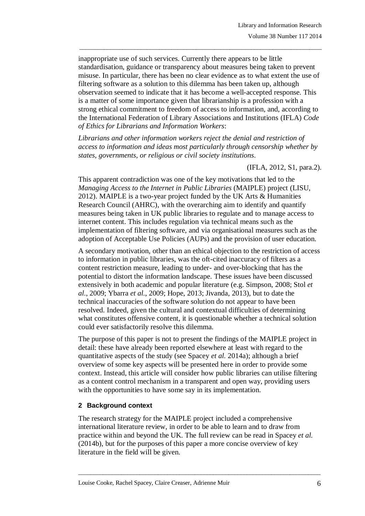inappropriate use of such services. Currently there appears to be little standardisation, guidance or transparency about measures being taken to prevent misuse. In particular, there has been no clear evidence as to what extent the use of filtering software as a solution to this dilemma has been taken up, although observation seemed to indicate that it has become a well-accepted response. This is a matter of some importance given that librarianship is a profession with a strong ethical commitment to freedom of access to information, and, according to the International Federation of Library Associations and Institutions (IFLA) *Code of Ethics for Librarians and Information Workers*:

\_\_\_\_\_\_\_\_\_\_\_\_\_\_\_\_\_\_\_\_\_\_\_\_\_\_\_\_\_\_\_\_\_\_\_\_\_\_\_\_\_\_\_\_\_\_\_\_\_\_\_\_\_\_\_\_\_\_\_\_\_\_\_\_\_\_\_\_\_\_\_\_\_\_\_\_\_\_\_

*Librarians and other information workers reject the denial and restriction of access to information and ideas most particularly through censorship whether by states, governments, or religious or civil society institutions.*

(IFLA, 2012, S1, para.2).

This apparent contradiction was one of the key motivations that led to the *Managing Access to the Internet in Public Libraries* (MAIPLE) project (LISU, 2012). MAIPLE is a two-year project funded by the UK Arts & Humanities Research Council (AHRC), with the overarching aim to identify and quantify measures being taken in UK public libraries to regulate and to manage access to internet content. This includes regulation via technical means such as the implementation of filtering software, and via organisational measures such as the adoption of Acceptable Use Policies (AUPs) and the provision of user education.

A secondary motivation, other than an ethical objection to the restriction of access to information in public libraries, was the oft-cited inaccuracy of filters as a content restriction measure, leading to under- and over-blocking that has the potential to distort the information landscape. These issues have been discussed extensively in both academic and popular literature (e.g. Simpson, 2008; Stol *et al*., 2009; Ybarra *et al.*, 2009; Hope, 2013; Jivanda, 2013), but to date the technical inaccuracies of the software solution do not appear to have been resolved. Indeed, given the cultural and contextual difficulties of determining what constitutes offensive content, it is questionable whether a technical solution could ever satisfactorily resolve this dilemma.

The purpose of this paper is not to present the findings of the MAIPLE project in detail: these have already been reported elsewhere at least with regard to the quantitative aspects of the study (see Spacey *et al.* 2014a); although a brief overview of some key aspects will be presented here in order to provide some context. Instead, this article will consider how public libraries can utilise filtering as a content control mechanism in a transparent and open way, providing users with the opportunities to have some say in its implementation.

# **2 Background context**

The research strategy for the MAIPLE project included a comprehensive international literature review, in order to be able to learn and to draw from practice within and beyond the UK. The full review can be read in Spacey *et al.*  (2014b), but for the purposes of this paper a more concise overview of key literature in the field will be given.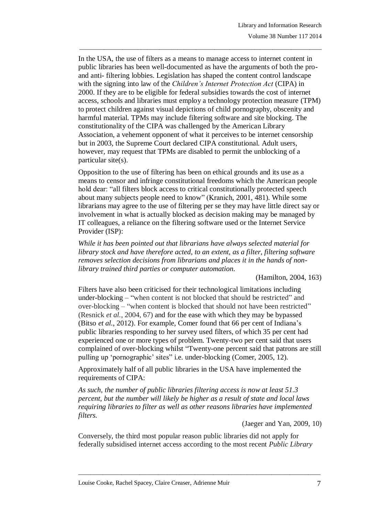In the USA, the use of filters as a means to manage access to internet content in public libraries has been well-documented as have the arguments of both the proand anti- filtering lobbies. Legislation has shaped the content control landscape with the signing into law of the *Children's Internet Protection Act* (CIPA) in 2000. If they are to be eligible for federal subsidies towards the cost of internet access, schools and libraries must employ a technology protection measure (TPM) to protect children against visual depictions of child pornography, obscenity and harmful material. TPMs may include filtering software and site blocking. The constitutionality of the CIPA was challenged by the American Library Association, a vehement opponent of what it perceives to be internet censorship but in 2003, the Supreme Court declared CIPA constitutional. Adult users, however, may request that TPMs are disabled to permit the unblocking of a particular site(s).

\_\_\_\_\_\_\_\_\_\_\_\_\_\_\_\_\_\_\_\_\_\_\_\_\_\_\_\_\_\_\_\_\_\_\_\_\_\_\_\_\_\_\_\_\_\_\_\_\_\_\_\_\_\_\_\_\_\_\_\_\_\_\_\_\_\_\_\_\_\_\_\_\_\_\_\_\_\_\_

Opposition to the use of filtering has been on ethical grounds and its use as a means to censor and infringe constitutional freedoms which the American people hold dear: "all filters block access to critical constitutionally protected speech about many subjects people need to know" (Kranich, 2001, 481). While some librarians may agree to the use of filtering per se they may have little direct say or involvement in what is actually blocked as decision making may be managed by IT colleagues, a reliance on the filtering software used or the Internet Service Provider (ISP):

*While it has been pointed out that librarians have always selected material for library stock and have therefore acted, to an extent, as a filter, filtering software removes selection decisions from librarians and places it in the hands of nonlibrary trained third parties or computer automation.*

(Hamilton, 2004, 163)

Filters have also been criticised for their technological limitations including under-blocking – "when content is not blocked that should be restricted" and over-blocking – "when content is blocked that should not have been restricted" (Resnick *et al.*, 2004, 67) and for the ease with which they may be bypassed (Bitso *et al.*, 2012). For example, Comer found that 66 per cent of Indiana"s public libraries responding to her survey used filters, of which 35 per cent had experienced one or more types of problem. Twenty-two per cent said that users complained of over-blocking whilst "Twenty-one percent said that patrons are still pulling up "pornographic" sites" i.e. under-blocking (Comer, 2005, 12).

Approximately half of all public libraries in the USA have implemented the requirements of CIPA:

*As such, the number of public libraries filtering access is now at least 51.3 percent, but the number will likely be higher as a result of state and local laws requiring libraries to filter as well as other reasons libraries have implemented filters.*

(Jaeger and Yan, 2009, 10)

Conversely, the third most popular reason public libraries did not apply for federally subsidised internet access according to the most recent *Public Library*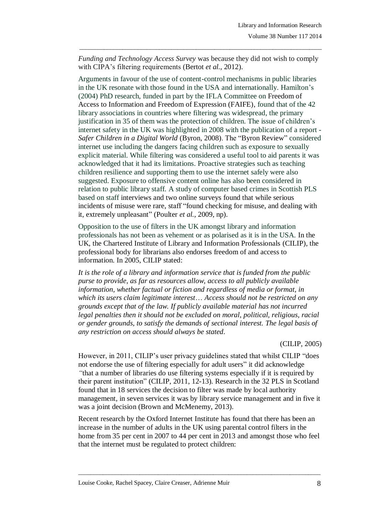*Funding and Technology Access Survey* was because they did not wish to comply with CIPA's filtering requirements (Bertot *et al.*, 2012).

\_\_\_\_\_\_\_\_\_\_\_\_\_\_\_\_\_\_\_\_\_\_\_\_\_\_\_\_\_\_\_\_\_\_\_\_\_\_\_\_\_\_\_\_\_\_\_\_\_\_\_\_\_\_\_\_\_\_\_\_\_\_\_\_\_\_\_\_\_\_\_\_\_\_\_\_\_\_\_

Arguments in favour of the use of content-control mechanisms in public libraries in the UK resonate with those found in the USA and internationally. Hamilton"s (2004) PhD research, funded in part by the IFLA Committee on Freedom of Access to Information and Freedom of Expression (FAIFE), found that of the 42 library associations in countries where filtering was widespread, the primary justification in 35 of them was the protection of children. The issue of children"s internet safety in the UK was highlighted in 2008 with the publication of a report - *Safer Children in a Digital World* (Byron, 2008). The "Byron Review" considered internet use including the dangers facing children such as exposure to sexually explicit material. While filtering was considered a useful tool to aid parents it was acknowledged that it had its limitations. Proactive strategies such as teaching children resilience and supporting them to use the internet safely were also suggested. Exposure to offensive content online has also been considered in relation to public library staff. A study of computer based crimes in Scottish PLS based on staff interviews and two online surveys found that while serious incidents of misuse were rare, staff "found checking for misuse, and dealing with it, extremely unpleasant" (Poulter *et al.*, 2009, np).

Opposition to the use of filters in the UK amongst library and information professionals has not been as vehement or as polarised as it is in the USA. In the UK, the Chartered Institute of Library and Information Professionals (CILIP), the professional body for librarians also endorses freedom of and access to information. In 2005, CILIP stated:

*It is the role of a library and information service that is funded from the public purse to provide, as far as resources allow, access to all publicly available information, whether factual or fiction and regardless of media or format, in which its users claim legitimate interest*… *Access should not be restricted on any grounds except that of the law. If publicly available material has not incurred legal penalties then it should not be excluded on moral, political, religious, racial or gender grounds, to satisfy the demands of sectional interest. The legal basis of any restriction on access should always be stated.*

### (CILIP, 2005)

However, in 2011, CILIP's user privacy guidelines stated that whilst CILIP "does" not endorse the use of filtering especially for adult users" it did acknowledge *"*that a number of libraries do use filtering systems especially if it is required by their parent institution" (CILIP, 2011, 12-13). Research in the 32 PLS in Scotland found that in 18 services the decision to filter was made by local authority management, in seven services it was by library service management and in five it was a joint decision (Brown and McMenemy, 2013).

Recent research by the Oxford Internet Institute has found that there has been an increase in the number of adults in the UK using parental control filters in the home from 35 per cent in 2007 to 44 per cent in 2013 and amongst those who feel that the internet must be regulated to protect children: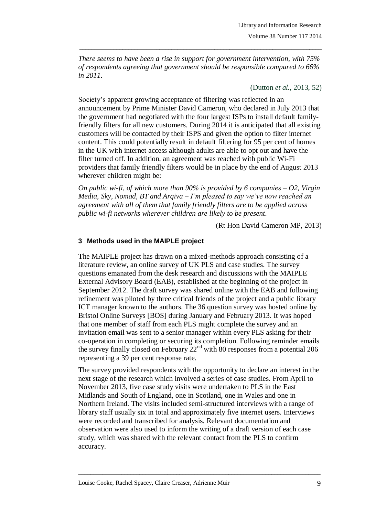*There seems to have been a rise in support for government intervention, with 75% of respondents agreeing that government should be responsible compared to 66% in 2011*.

\_\_\_\_\_\_\_\_\_\_\_\_\_\_\_\_\_\_\_\_\_\_\_\_\_\_\_\_\_\_\_\_\_\_\_\_\_\_\_\_\_\_\_\_\_\_\_\_\_\_\_\_\_\_\_\_\_\_\_\_\_\_\_\_\_\_\_\_\_\_\_\_\_\_\_\_\_\_\_

(Dutton *et al.*, 2013, 52)

Society's apparent growing acceptance of filtering was reflected in an announcement by Prime Minister David Cameron, who declared in July 2013 that the government had negotiated with the four largest ISPs to install default familyfriendly filters for all new customers. During 2014 it is anticipated that all existing customers will be contacted by their ISPS and given the option to filter internet content. This could potentially result in default filtering for 95 per cent of homes in the UK with internet access although adults are able to opt out and have the filter turned off. In addition, an agreement was reached with public Wi-Fi providers that family friendly filters would be in place by the end of August 2013 wherever children might be:

*On public wi-fi, of which more than 90% is provided by 6 companies – O2, Virgin Media, Sky, Nomad, BT and Arqiva – I'm pleased to say we've now reached an agreement with all of them that family friendly filters are to be applied across public wi-fi networks wherever children are likely to be present.*

(Rt Hon David Cameron MP, 2013)

# **3 Methods used in the MAIPLE project**

The MAIPLE project has drawn on a mixed-methods approach consisting of a literature review, an online survey of UK PLS and case studies. The survey questions emanated from the desk research and discussions with the MAIPLE External Advisory Board (EAB), established at the beginning of the project in September 2012. The draft survey was shared online with the EAB and following refinement was piloted by three critical friends of the project and a public library ICT manager known to the authors. The 36 question survey was hosted online by Bristol Online Surveys [BOS] during January and February 2013. It was hoped that one member of staff from each PLS might complete the survey and an invitation email was sent to a senior manager within every PLS asking for their co-operation in completing or securing its completion. Following reminder emails the survey finally closed on February  $22<sup>nd</sup>$  with 80 responses from a potential 206 representing a 39 per cent response rate.

The survey provided respondents with the opportunity to declare an interest in the next stage of the research which involved a series of case studies. From April to November 2013, five case study visits were undertaken to PLS in the East Midlands and South of England, one in Scotland, one in Wales and one in Northern Ireland. The visits included semi-structured interviews with a range of library staff usually six in total and approximately five internet users. Interviews were recorded and transcribed for analysis. Relevant documentation and observation were also used to inform the writing of a draft version of each case study, which was shared with the relevant contact from the PLS to confirm accuracy.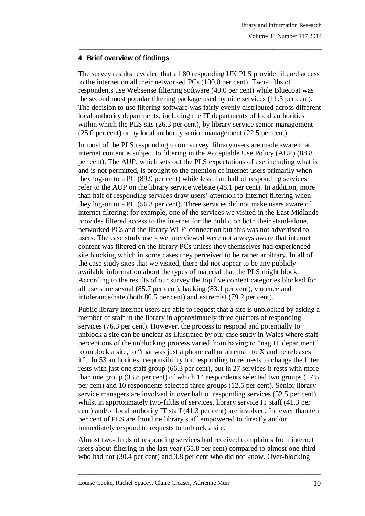# **4 Brief overview of findings**

The survey results revealed that all 80 responding UK PLS provide filtered access to the internet on all their networked PCs (100.0 per cent). Two-fifths of respondents use Websense filtering software (40.0 per cent) while Bluecoat was the second most popular filtering package used by nine services (11.3 per cent). The decision to use filtering software was fairly evenly distributed across different local authority departments, including the IT departments of local authorities within which the PLS sits (26.3 per cent), by library service senior management (25.0 per cent) or by local authority senior management (22.5 per cent).

\_\_\_\_\_\_\_\_\_\_\_\_\_\_\_\_\_\_\_\_\_\_\_\_\_\_\_\_\_\_\_\_\_\_\_\_\_\_\_\_\_\_\_\_\_\_\_\_\_\_\_\_\_\_\_\_\_\_\_\_\_\_\_\_\_\_\_\_\_\_\_\_\_\_\_\_\_\_\_

In most of the PLS responding to our survey, library users are made aware that internet content is subject to filtering in the Acceptable Use Policy (AUP) (88.8 per cent). The AUP, which sets out the PLS expectations of use including what is and is not permitted, is brought to the attention of internet users primarily when they log-on to a PC (89.9 per cent) while less than half of responding services refer to the AUP on the library service website (48.1 per cent). In addition, more than half of responding services draw users" attention to internet filtering when they log-on to a PC (56.3 per cent). Three services did not make users aware of internet filtering; for example, one of the services we visited in the East Midlands provides filtered access to the internet for the public on both their stand-alone, networked PCs and the library Wi-Fi connection but this was not advertised to users. The case study users we interviewed were not always aware that internet content was filtered on the library PCs unless they themselves had experienced site blocking which in some cases they perceived to be rather arbitrary. In all of the case study sites that we visited, there did not appear to be any publicly available information about the types of material that the PLS might block. According to the results of our survey the top five content categories blocked for all users are sexual (85.7 per cent), hacking (83.1 per cent), violence and intolerance/hate (both 80.5 per cent) and extremist (79.2 per cent).

Public library internet users are able to request that a site is unblocked by asking a member of staff in the library in approximately three quarters of responding services (76.3 per cent). However, the process to respond and potentially to unblock a site can be unclear as illustrated by our case study in Wales where staff perceptions of the unblocking process varied from having to "nag IT department" to unblock a site, to "that was just a phone call or an email to X and he releases it". In 53 authorities, responsibility for responding to requests to change the filter rests with just one staff group (66.3 per cent), but in 27 services it rests with more than one group (33.8 per cent) of which 14 respondents selected two groups (17.5 per cent) and 10 respondents selected three groups (12.5 per cent). Senior library service managers are involved in over half of responding services (52.5 per cent) whilst in approximately two-fifths of services, library service IT staff (41.3 per cent) and/or local authority IT staff (41.3 per cent) are involved. In fewer than ten per cent of PLS are frontline library staff empowered to directly and/or immediately respond to requests to unblock a site.

Almost two-thirds of responding services had received complaints from internet users about filtering in the last year (65.8 per cent) compared to almost one-third who had not (30.4 per cent) and 3.8 per cent who did not know. Over-blocking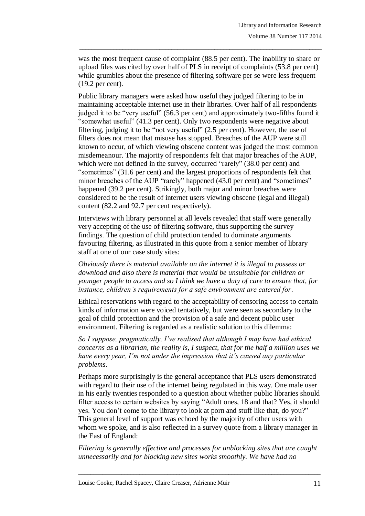was the most frequent cause of complaint (88.5 per cent). The inability to share or upload files was cited by over half of PLS in receipt of complaints (53.8 per cent) while grumbles about the presence of filtering software per se were less frequent (19.2 per cent).

\_\_\_\_\_\_\_\_\_\_\_\_\_\_\_\_\_\_\_\_\_\_\_\_\_\_\_\_\_\_\_\_\_\_\_\_\_\_\_\_\_\_\_\_\_\_\_\_\_\_\_\_\_\_\_\_\_\_\_\_\_\_\_\_\_\_\_\_\_\_\_\_\_\_\_\_\_\_\_

Public library managers were asked how useful they judged filtering to be in maintaining acceptable internet use in their libraries. Over half of all respondents judged it to be "very useful" (56.3 per cent) and approximately two-fifths found it "somewhat useful" (41.3 per cent). Only two respondents were negative about filtering, judging it to be "not very useful" (2.5 per cent). However, the use of filters does not mean that misuse has stopped. Breaches of the AUP were still known to occur, of which viewing obscene content was judged the most common misdemeanour. The majority of respondents felt that major breaches of the AUP, which were not defined in the survey, occurred "rarely" (38.0 per cent) and "sometimes" (31.6 per cent) and the largest proportions of respondents felt that minor breaches of the AUP "rarely" happened (43.0 per cent) and "sometimes" happened (39.2 per cent). Strikingly, both major and minor breaches were considered to be the result of internet users viewing obscene (legal and illegal) content (82.2 and 92.7 per cent respectively).

Interviews with library personnel at all levels revealed that staff were generally very accepting of the use of filtering software, thus supporting the survey findings. The question of child protection tended to dominate arguments favouring filtering, as illustrated in this quote from a senior member of library staff at one of our case study sites:

*Obviously there is material available on the internet it is illegal to possess or download and also there is material that would be unsuitable for children or younger people to access and so I think we have a duty of care to ensure that, for instance, children's requirements for a safe environment are catered for*.

Ethical reservations with regard to the acceptability of censoring access to certain kinds of information were voiced tentatively, but were seen as secondary to the goal of child protection and the provision of a safe and decent public user environment. Filtering is regarded as a realistic solution to this dilemma:

*So I suppose, pragmatically, I've realised that although I may have had ethical concerns as a librarian, the reality is, I suspect, that for the half a million uses we have every year, I'm not under the impression that it's caused any particular problems*.

Perhaps more surprisingly is the general acceptance that PLS users demonstrated with regard to their use of the internet being regulated in this way. One male user in his early twenties responded to a question about whether public libraries should filter access to certain websites by saying "Adult ones, 18 and that? Yes, it should yes. You don't come to the library to look at porn and stuff like that, do you?" This general level of support was echoed by the majority of other users with whom we spoke, and is also reflected in a survey quote from a library manager in the East of England:

*Filtering is generally effective and processes for unblocking sites that are caught unnecessarily and for blocking new sites works smoothly. We have had no*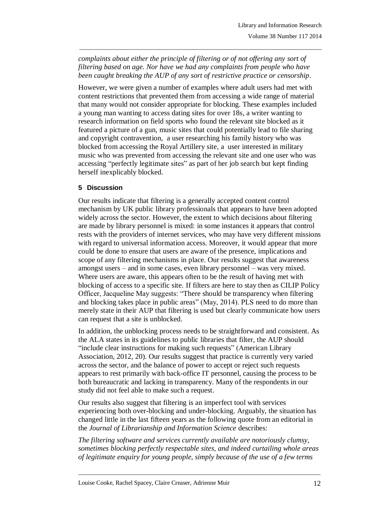*complaints about either the principle of filtering or of not offering any sort of filtering based on age. Nor have we had any complaints from people who have been caught breaking the AUP of any sort of restrictive practice or censorship*.

\_\_\_\_\_\_\_\_\_\_\_\_\_\_\_\_\_\_\_\_\_\_\_\_\_\_\_\_\_\_\_\_\_\_\_\_\_\_\_\_\_\_\_\_\_\_\_\_\_\_\_\_\_\_\_\_\_\_\_\_\_\_\_\_\_\_\_\_\_\_\_\_\_\_\_\_\_\_\_

However, we were given a number of examples where adult users had met with content restrictions that prevented them from accessing a wide range of material that many would not consider appropriate for blocking. These examples included a young man wanting to access dating sites for over 18s, a writer wanting to research information on field sports who found the relevant site blocked as it featured a picture of a gun, music sites that could potentially lead to file sharing and copyright contravention, a user researching his family history who was blocked from accessing the Royal Artillery site, a user interested in military music who was prevented from accessing the relevant site and one user who was accessing "perfectly legitimate sites" as part of her job search but kept finding herself inexplicably blocked.

# **5 Discussion**

Our results indicate that filtering is a generally accepted content control mechanism by UK public library professionals that appears to have been adopted widely across the sector. However, the extent to which decisions about filtering are made by library personnel is mixed: in some instances it appears that control rests with the providers of internet services, who may have very different missions with regard to universal information access. Moreover, it would appear that more could be done to ensure that users are aware of the presence, implications and scope of any filtering mechanisms in place. Our results suggest that awareness amongst users – and in some cases, even library personnel – was very mixed. Where users are aware, this appears often to be the result of having met with blocking of access to a specific site. If filters are here to stay then as CILIP Policy Officer, Jacqueline May suggests: "There should be transparency when filtering and blocking takes place in public areas" (May, 2014). PLS need to do more than merely state in their AUP that filtering is used but clearly communicate how users can request that a site is unblocked.

In addition, the unblocking process needs to be straightforward and consistent. As the ALA states in its guidelines to public libraries that filter, the AUP should "include clear instructions for making such requests" (American Library Association, 2012, 20). Our results suggest that practice is currently very varied across the sector, and the balance of power to accept or reject such requests appears to rest primarily with back-office IT personnel, causing the process to be both bureaucratic and lacking in transparency. Many of the respondents in our study did not feel able to make such a request.

Our results also suggest that filtering is an imperfect tool with services experiencing both over-blocking and under-blocking. Arguably, the situation has changed little in the last fifteen years as the following quote from an editorial in the *Journal of Librarianship and Information Science* describes:

*The filtering software and services currently available are notoriously clumsy, sometimes blocking perfectly respectable sites, and indeed curtailing whole areas of legitimate enquiry for young people, simply because of the use of a few terms*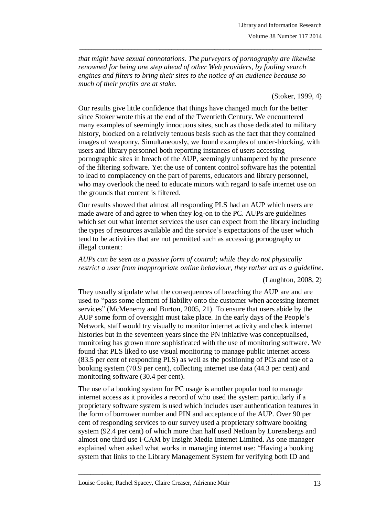*that might have sexual connotations. The purveyors of pornography are likewise renowned for being one step ahead of other Web providers, by fooling search engines and filters to bring their sites to the notice of an audience because so much of their profits are at stake*.

\_\_\_\_\_\_\_\_\_\_\_\_\_\_\_\_\_\_\_\_\_\_\_\_\_\_\_\_\_\_\_\_\_\_\_\_\_\_\_\_\_\_\_\_\_\_\_\_\_\_\_\_\_\_\_\_\_\_\_\_\_\_\_\_\_\_\_\_\_\_\_\_\_\_\_\_\_\_\_

### (Stoker, 1999, 4)

Our results give little confidence that things have changed much for the better since Stoker wrote this at the end of the Twentieth Century. We encountered many examples of seemingly innocuous sites, such as those dedicated to military history, blocked on a relatively tenuous basis such as the fact that they contained images of weaponry. Simultaneously, we found examples of under-blocking, with users and library personnel both reporting instances of users accessing pornographic sites in breach of the AUP, seemingly unhampered by the presence of the filtering software. Yet the use of content control software has the potential to lead to complacency on the part of parents, educators and library personnel, who may overlook the need to educate minors with regard to safe internet use on the grounds that content is filtered.

Our results showed that almost all responding PLS had an AUP which users are made aware of and agree to when they log-on to the PC. AUPs are guidelines which set out what internet services the user can expect from the library including the types of resources available and the service's expectations of the user which tend to be activities that are not permitted such as accessing pornography or illegal content:

*AUPs can be seen as a passive form of control; while they do not physically restrict a user from inappropriate online behaviour, they rather act as a guideline*.

### (Laughton, 2008, 2)

They usually stipulate what the consequences of breaching the AUP are and are used to "pass some element of liability onto the customer when accessing internet services" (McMenemy and Burton, 2005, 21). To ensure that users abide by the AUP some form of oversight must take place. In the early days of the People"s Network, staff would try visually to monitor internet activity and check internet histories but in the seventeen years since the PN initiative was conceptualised, monitoring has grown more sophisticated with the use of monitoring software. We found that PLS liked to use visual monitoring to manage public internet access (83.5 per cent of responding PLS) as well as the positioning of PCs and use of a booking system (70.9 per cent), collecting internet use data (44.3 per cent) and monitoring software (30.4 per cent).

The use of a booking system for PC usage is another popular tool to manage internet access as it provides a record of who used the system particularly if a proprietary software system is used which includes user authentication features in the form of borrower number and PIN and acceptance of the AUP. Over 90 per cent of responding services to our survey used a proprietary software booking system (92.4 per cent) of which more than half used Netloan by Lorensbergs and almost one third use i-CAM by Insight Media Internet Limited. As one manager explained when asked what works in managing internet use: "Having a booking system that links to the Library Management System for verifying both ID and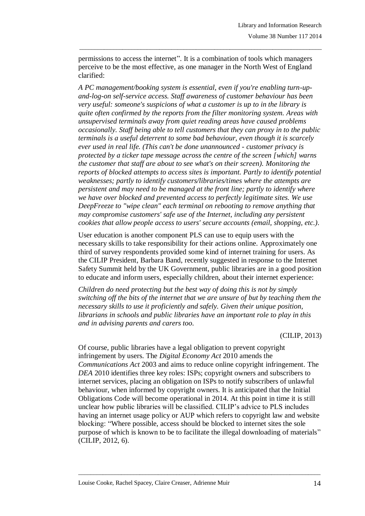permissions to access the internet". It is a combination of tools which managers perceive to be the most effective, as one manager in the North West of England clarified:

\_\_\_\_\_\_\_\_\_\_\_\_\_\_\_\_\_\_\_\_\_\_\_\_\_\_\_\_\_\_\_\_\_\_\_\_\_\_\_\_\_\_\_\_\_\_\_\_\_\_\_\_\_\_\_\_\_\_\_\_\_\_\_\_\_\_\_\_\_\_\_\_\_\_\_\_\_\_\_

*A PC management/booking system is essential, even if you're enabling turn-upand-log-on self-service access. Staff awareness of customer behaviour has been very useful: someone's suspicions of what a customer is up to in the library is quite often confirmed by the reports from the filter monitoring system. Areas with unsupervised terminals away from quiet reading areas have caused problems occasionally. Staff being able to tell customers that they can proxy in to the public terminals is a useful deterrent to some bad behaviour, even though it is scarcely ever used in real life. (This can't be done unannounced - customer privacy is protected by a ticker tape message across the centre of the screen [which] warns the customer that staff are about to see what's on their screen). Monitoring the reports of blocked attempts to access sites is important. Partly to identify potential weaknesses; partly to identify customers/libraries/times where the attempts are persistent and may need to be managed at the front line; partly to identify where we have over blocked and prevented access to perfectly legitimate sites. We use DeepFreeze to "wipe clean" each terminal on rebooting to remove anything that may compromise customers' safe use of the Internet, including any persistent cookies that allow people access to users' secure accounts (email, shopping, etc.).*

User education is another component PLS can use to equip users with the necessary skills to take responsibility for their actions online. Approximately one third of survey respondents provided some kind of internet training for users. As the CILIP President, Barbara Band, recently suggested in response to the Internet Safety Summit held by the UK Government, public libraries are in a good position to educate and inform users, especially children, about their internet experience:

*Children do need protecting but the best way of doing this is not by simply switching off the bits of the internet that we are unsure of but by teaching them the necessary skills to use it proficiently and safely. Given their unique position, librarians in schools and public libraries have an important role to play in this and in advising parents and carers too.*

(CILIP, 2013)

Of course, public libraries have a legal obligation to prevent copyright infringement by users. The *Digital Economy Act* 2010 amends the *Communications Act* 2003 and aims to reduce online copyright infringement. The *DEA* 2010 identifies three key roles: ISPs; copyright owners and subscribers to internet services, placing an obligation on ISPs to notify subscribers of unlawful behaviour, when informed by copyright owners. It is anticipated that the Initial Obligations Code will become operational in 2014. At this point in time it is still unclear how public libraries will be classified. CILIP"s advice to PLS includes having an internet usage policy or AUP which refers to copyright law and website blocking: "Where possible, access should be blocked to internet sites the sole purpose of which is known to be to facilitate the illegal downloading of materials" (CILIP, 2012, 6).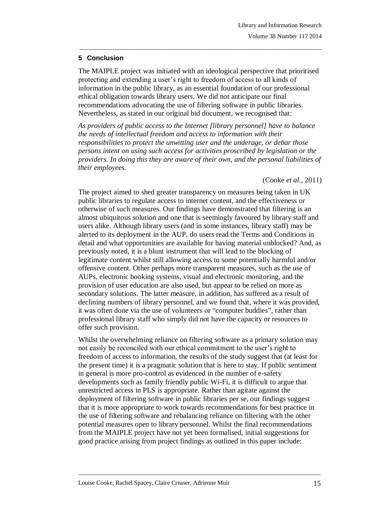# **5 Conclusion**

The MAIPLE project was initiated with an ideological perspective that prioritised protecting and extending a user"s right to freedom of access to all kinds of information in the public library, as an essential foundation of our professional ethical obligation towards library users. We did not anticipate our final recommendations advocating the use of filtering software in public libraries. Nevertheless, as stated in our original bid document, we recognised that:

\_\_\_\_\_\_\_\_\_\_\_\_\_\_\_\_\_\_\_\_\_\_\_\_\_\_\_\_\_\_\_\_\_\_\_\_\_\_\_\_\_\_\_\_\_\_\_\_\_\_\_\_\_\_\_\_\_\_\_\_\_\_\_\_\_\_\_\_\_\_\_\_\_\_\_\_\_\_\_

*As providers of public access to the Internet [library personnel] have to balance the needs of intellectual freedom and access to information with their responsibilities to protect the unwitting user and the underage, or debar those persons intent on using such access for activities proscribed by legislation or the providers. In doing this they are aware of their own, and the personal liabilities of their employees.*

(Cooke *et al*., 2011)

The project aimed to shed greater transparency on measures being taken in UK public libraries to regulate access to internet content, and the effectiveness or otherwise of such measures. Our findings have demonstrated that filtering is an almost ubiquitous solution and one that is seemingly favoured by library staff and users alike. Although library users (and in some instances, library staff) may be alerted to its deployment in the AUP, do users read the Terms and Conditions in detail and what opportunities are available for having material unblocked? And, as previously noted, it is a blunt instrument that will lead to the blocking of legitimate content whilst still allowing access to some potentially harmful and/or offensive content. Other perhaps more transparent measures, such as the use of AUPs, electronic booking systems, visual and electronic monitoring, and the provision of user education are also used, but appear to be relied on more as secondary solutions. The latter measure, in addition, has suffered as a result of declining numbers of library personnel, and we found that, where it was provided, it was often done via the use of volunteers or "computer buddies", rather than professional library staff who simply did not have the capacity or resources to offer such provision.

Whilst the overwhelming reliance on filtering software as a primary solution may not easily be reconciled with our ethical commitment to the user's right to freedom of access to information, the results of the study suggest that (at least for the present time) it is a pragmatic solution that is here to stay. If public sentiment in general is more pro-control as evidenced in the number of e-safety developments such as family friendly public Wi-Fi, it is difficult to argue that unrestricted access in PLS is appropriate. Rather than agitate against the deployment of filtering software in public libraries per se, our findings suggest that it is more appropriate to work towards recommendations for best practice in the use of filtering software and rebalancing reliance on filtering with the other potential measures open to library personnel. Whilst the final recommendations from the MAIPLE project have not yet been formalised, initial suggestions for good practice arising from project findings as outlined in this paper include: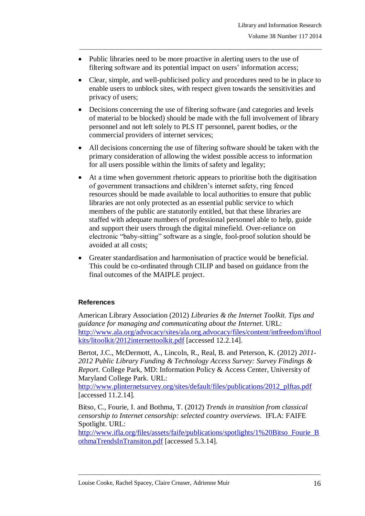- Public libraries need to be more proactive in alerting users to the use of filtering software and its potential impact on users' information access;
- Clear, simple, and well-publicised policy and procedures need to be in place to enable users to unblock sites, with respect given towards the sensitivities and privacy of users;

\_\_\_\_\_\_\_\_\_\_\_\_\_\_\_\_\_\_\_\_\_\_\_\_\_\_\_\_\_\_\_\_\_\_\_\_\_\_\_\_\_\_\_\_\_\_\_\_\_\_\_\_\_\_\_\_\_\_\_\_\_\_\_\_\_\_\_\_\_\_\_\_\_\_\_\_\_\_\_

- Decisions concerning the use of filtering software (and categories and levels of material to be blocked) should be made with the full involvement of library personnel and not left solely to PLS IT personnel, parent bodies, or the commercial providers of internet services;
- All decisions concerning the use of filtering software should be taken with the primary consideration of allowing the widest possible access to information for all users possible within the limits of safety and legality;
- At a time when government rhetoric appears to prioritise both the digitisation of government transactions and children"s internet safety, ring fenced resources should be made available to local authorities to ensure that public libraries are not only protected as an essential public service to which members of the public are statutorily entitled, but that these libraries are staffed with adequate numbers of professional personnel able to help, guide and support their users through the digital minefield. Over-reliance on electronic "baby-sitting" software as a single, fool-proof solution should be avoided at all costs;
- Greater standardisation and harmonisation of practice would be beneficial. This could be co-ordinated through CILIP and based on guidance from the final outcomes of the MAIPLE project.

# **References**

American Library Association (2012) *Libraries & the Internet Toolkit. Tips and guidance for managing and communicating about the Internet*. URL: [http://www.ala.org/advocacy/sites/ala.org.advocacy/files/content/intfreedom/iftool](http://www.ala.org/advocacy/sites/ala.org.advocacy/files/content/intfreedom/iftoolkits/litoolkit/2012internettoolkit.pdf) [kits/litoolkit/2012internettoolkit.pdf](http://www.ala.org/advocacy/sites/ala.org.advocacy/files/content/intfreedom/iftoolkits/litoolkit/2012internettoolkit.pdf) [accessed 12.2.14].

Bertot, J.C., McDermott, A., Lincoln, R., Real, B. and Peterson, K. (2012) *2011- 2012 Public Library Funding & Technology Access Survey: Survey Findings & Report.* College Park, MD: Information Policy & Access Center, University of Maryland College Park. URL:

[http://www.plinternetsurvey.org/sites/default/files/publications/2012\\_plftas.pdf](http://www.plinternetsurvey.org/sites/default/files/publications/2012_plftas.pdf) [accessed 11.2.14].

Bitso, C., Fourie, I. and Bothma, T. (2012) *Trends in transition from classical censorship to Internet censorship: selected country overviews*. IFLA: FAIFE Spotlight. URL:

[http://www.ifla.org/files/assets/faife/publications/spotlights/1%20Bitso\\_Fourie\\_B](http://www.ifla.org/files/assets/faife/publications/spotlights/1%20Bitso_Fourie_BothmaTrendsInTransiton.pdf) [othmaTrendsInTransiton.pdf](http://www.ifla.org/files/assets/faife/publications/spotlights/1%20Bitso_Fourie_BothmaTrendsInTransiton.pdf) [accessed 5.3.14].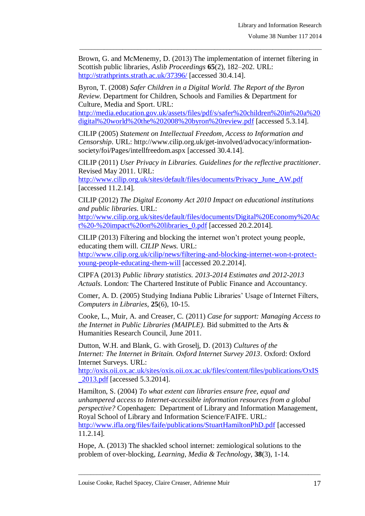Brown, G. and McMenemy, D. (2013) The implementation of internet filtering in Scottish public libraries, *Aslib Proceedings* **65**(2), 182–202. URL: <http://strathprints.strath.ac.uk/37396/> [accessed 30.4.14].

\_\_\_\_\_\_\_\_\_\_\_\_\_\_\_\_\_\_\_\_\_\_\_\_\_\_\_\_\_\_\_\_\_\_\_\_\_\_\_\_\_\_\_\_\_\_\_\_\_\_\_\_\_\_\_\_\_\_\_\_\_\_\_\_\_\_\_\_\_\_\_\_\_\_\_\_\_\_\_

Byron, T. (2008) *Safer Children in a Digital World. The Report of the Byron Review*. Department for Children, Schools and Families & Department for Culture, Media and Sport. URL:

[http://media.education.gov.uk/assets/files/pdf/s/safer%20children%20in%20a%20](http://media.education.gov.uk/assets/files/pdf/s/safer%20children%20in%20a%20digital%20world%20the%202008%20byron%20review.pdf) [digital%20world%20the%202008%20byron%20review.pdf](http://media.education.gov.uk/assets/files/pdf/s/safer%20children%20in%20a%20digital%20world%20the%202008%20byron%20review.pdf) [accessed 5.3.14].

CILIP (2005) *Statement on Intellectual Freedom, Access to Information and Censorship*. URL: http://www.cilip.org.uk/get-involved/advocacy/informationsociety/foi/Pages/intellfreedom.aspx [accessed 30.4.14].

CILIP (2011) *User Privacy in Libraries. Guidelines for the reflective practitioner*. Revised May 2011. URL:

[http://www.cilip.org.uk/sites/default/files/documents/Privacy\\_June\\_AW.pdf](http://www.cilip.org.uk/sites/default/files/documents/Privacy_June_AW.pdf) [accessed 11.2.14].

CILIP (2012) *The Digital Economy Act 2010 Impact on educational institutions and public libraries*. URL: [http://www.cilip.org.uk/sites/default/files/documents/Digital%20Economy%20Ac](http://www.cilip.org.uk/sites/default/files/documents/Digital%20Economy%20Act%20-%20impact%20on%20libraries_0.pdf) [t%20-%20impact%20on%20libraries\\_0.pdf](http://www.cilip.org.uk/sites/default/files/documents/Digital%20Economy%20Act%20-%20impact%20on%20libraries_0.pdf) [accessed 20.2.2014].

CILIP (2013) Filtering and blocking the internet won"t protect young people, educating them will. *CILIP News.* URL:

[http://www.cilip.org.uk/cilip/news/filtering-and-blocking-internet-won-t-protect](http://www.cilip.org.uk/cilip/news/filtering-and-blocking-internet-won-t-protect-young-people-educating-them-will)[young-people-educating-them-will](http://www.cilip.org.uk/cilip/news/filtering-and-blocking-internet-won-t-protect-young-people-educating-them-will) [accessed 20.2.2014].

CIPFA (2013) *Public library statistics. 2013-2014 Estimates and 2012-2013 Actuals*. London: The Chartered Institute of Public Finance and Accountancy.

Comer, A. D. (2005) Studying Indiana Public Libraries' Usage of Internet Filters, *Computers in Libraries*, **25**(6), 10-15.

Cooke, L., Muir, A. and Creaser, C. (2011) *Case for support: Managing Access to the Internet in Public Libraries (MAIPLE).* Bid submitted to the Arts & Humanities Research Council, June 2011.

Dutton, W.H. and Blank, G. with Groselj, D. (2013) *Cultures of the Internet: The Internet in Britain. Oxford Internet Survey 2013*. Oxford: Oxford Internet Surveys. URL:

[http://oxis.oii.ox.ac.uk/sites/oxis.oii.ox.ac.uk/files/content/files/publications/OxIS](http://oxis.oii.ox.ac.uk/sites/oxis.oii.ox.ac.uk/files/content/files/publications/OxIS_2013.pdf) [\\_2013.pdf](http://oxis.oii.ox.ac.uk/sites/oxis.oii.ox.ac.uk/files/content/files/publications/OxIS_2013.pdf) [accessed 5.3.2014].

Hamilton, S. (2004) *To what extent can libraries ensure free, equal and unhampered access to Internet-accessible information resources from a global perspective?* Copenhagen: Department of Library and Information Management, Royal School of Library and Information Science/FAIFE. URL: <http://www.ifla.org/files/faife/publications/StuartHamiltonPhD.pdf> [accessed 11.2.14].

\_\_\_\_\_\_\_\_\_\_\_\_\_\_\_\_\_\_\_\_\_\_\_\_\_\_\_\_\_\_\_\_\_\_\_\_\_\_\_\_\_\_\_\_\_\_\_\_\_\_\_\_\_\_\_\_\_\_\_\_\_\_\_\_\_\_\_\_\_\_\_\_\_\_\_\_\_\_\_

Hope, A. (2013) The shackled school internet: zemiological solutions to the problem of over-blocking, *Learning, Media & Technology,* **38**(3), 1-14.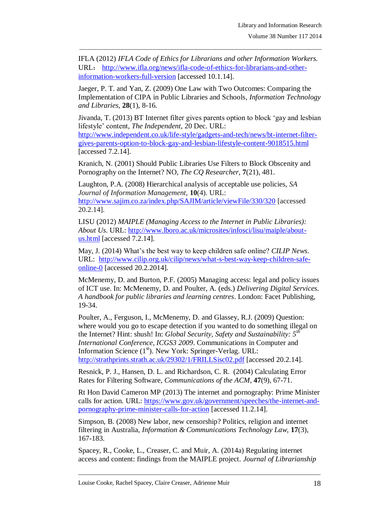IFLA (2012) *IFLA Code of Ethics for Librarians and other Information Workers.*  URL: [http://www.ifla.org/news/ifla-code-of-ethics-for-librarians-and-other](http://www.ifla.org/news/ifla-code-of-ethics-for-librarians-and-other-information-workers-full-version)[information-workers-full-version](http://www.ifla.org/news/ifla-code-of-ethics-for-librarians-and-other-information-workers-full-version) [accessed 10.1.14].

\_\_\_\_\_\_\_\_\_\_\_\_\_\_\_\_\_\_\_\_\_\_\_\_\_\_\_\_\_\_\_\_\_\_\_\_\_\_\_\_\_\_\_\_\_\_\_\_\_\_\_\_\_\_\_\_\_\_\_\_\_\_\_\_\_\_\_\_\_\_\_\_\_\_\_\_\_\_\_

Jaeger, P. T. and Yan, Z. (2009) One Law with Two Outcomes: Comparing the Implementation of CIPA in Public Libraries and Schools, *Information Technology and Libraries*, **28**(1), 8-16.

Jivanda, T. (2013) BT Internet filter gives parents option to block "gay and lesbian lifestyle" content, *The Independent,* 20 Dec. URL:

[http://www.independent.co.uk/life-style/gadgets-and-tech/news/bt-internet-filter](http://www.independent.co.uk/life-style/gadgets-and-tech/news/bt-internet-filter-gives-parents-option-to-block-gay-and-lesbian-lifestyle-content-9018515.html)[gives-parents-option-to-block-gay-and-lesbian-lifestyle-content-9018515.html](http://www.independent.co.uk/life-style/gadgets-and-tech/news/bt-internet-filter-gives-parents-option-to-block-gay-and-lesbian-lifestyle-content-9018515.html) [accessed 7.2.14].

Kranich, N. (2001) Should Public Libraries Use Filters to Block Obscenity and Pornography on the Internet? NO, *The CQ Researcher*, **7**(21), 481.

Laughton, P.A. (2008) Hierarchical analysis of acceptable use policies, *SA Journal of Information Management*, **10**(4). URL: <http://www.sajim.co.za/index.php/SAJIM/article/viewFile/330/320> [accessed 20.2.14].

LISU (2012) *MAIPLE (Managing Access to the Internet in Public Libraries): About Us*. URL: [http://www.lboro.ac.uk/microsites/infosci/lisu/maiple/about](http://www.lboro.ac.uk/microsites/infosci/lisu/maiple/about-us.html)[us.html](http://www.lboro.ac.uk/microsites/infosci/lisu/maiple/about-us.html) [accessed 7.2.14].

May, J. (2014) What"s the best way to keep children safe online? *CILIP News*. URL: [http://www.cilip.org.uk/cilip/news/what-s-best-way-keep-children-safe](http://www.cilip.org.uk/cilip/news/what-s-best-way-keep-children-safe-online-0)[online-0](http://www.cilip.org.uk/cilip/news/what-s-best-way-keep-children-safe-online-0) [accessed 20.2.2014].

McMenemy, D. and Burton, P.F. (2005) Managing access: legal and policy issues of ICT use. In: McMenemy, D. and Poulter, A. (eds.) *Delivering Digital Services. A handbook for public libraries and learning centres*. London: Facet Publishing, 19-34.

Poulter, A., Ferguson, I., McMenemy, D. and Glassey, R.J. (2009) Question: where would you go to escape detection if you wanted to do something illegal on the Internet? Hint: shush! In: *Global Security, Safety and Sustainability: 5th International Conference, ICGS3 2009*. Communications in Computer and Information Science (1<sup>st</sup>). New York: Springer-Verlag. URL: <http://strathprints.strath.ac.uk/29302/1/FRILLSisc02.pdf> [accessed 20.2.14].

Resnick, P. J., Hansen, D. L. and Richardson, C. R. (2004) Calculating Error Rates for Filtering Software, *Communications of the ACM*, **47**(9), 67-71.

Rt Hon David Cameron MP (2013) The internet and pornography: Prime Minister calls for action. URL: [https://www.gov.uk/government/speeches/the-internet-and](https://www.gov.uk/government/speeches/the-internet-and-pornography-prime-minister-calls-for-action)[pornography-prime-minister-calls-for-action](https://www.gov.uk/government/speeches/the-internet-and-pornography-prime-minister-calls-for-action) [accessed 11.2.14].

Simpson, B. (2008) New labor, new censorship? Politics, religion and internet filtering in Australia, *Information & Communications Technology Law,* **17**(3), 167-183.

Spacey, R., Cooke, L., Creaser, C. and Muir, A. (2014a) Regulating internet access and content: findings from the MAIPLE project. *Journal of Librarianship*